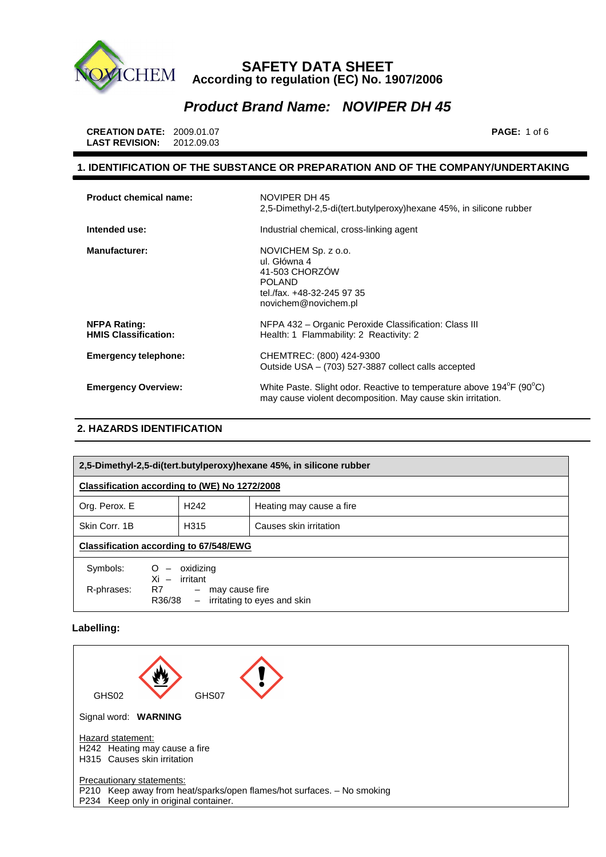

## **Product Brand Name: NOVIPER DH 45**

 **CREATION DATE:** 2009.01.07 **PAGE:** 1 of 6  **LAST REVISION:** 2012.09.03

### **1. IDENTIFICATION OF THE SUBSTANCE OR PREPARATION AND OF THE COMPANY/UNDERTAKING**

| <b>Product chemical name:</b>                      | NOVIPER DH 45<br>2,5-Dimethyl-2,5-di(tert.butylperoxy)hexane 45%, in silicone rubber                                                                          |
|----------------------------------------------------|---------------------------------------------------------------------------------------------------------------------------------------------------------------|
| Intended use:                                      | Industrial chemical, cross-linking agent                                                                                                                      |
| <b>Manufacturer:</b>                               | NOVICHEM Sp. z o.o.<br>ul. Główna 4<br>41-503 CHORZÓW<br><b>POLAND</b><br>tel./fax. +48-32-245 97 35<br>novichem@novichem.pl                                  |
| <b>NFPA Rating:</b><br><b>HMIS Classification:</b> | NFPA 432 – Organic Peroxide Classification: Class III<br>Health: 1 Flammability: 2 Reactivity: 2                                                              |
| <b>Emergency telephone:</b>                        | CHEMTREC: (800) 424-9300<br>Outside USA - (703) 527-3887 collect calls accepted                                                                               |
| <b>Emergency Overview:</b>                         | White Paste. Slight odor. Reactive to temperature above 194 <sup>o</sup> F (90 <sup>o</sup> C)<br>may cause violent decomposition. May cause skin irritation. |

## **2. HAZARDS IDENTIFICATION**

| 2,5-Dimethyl-2,5-di(tert.butylperoxy)hexane 45%, in silicone rubber                                                                                                                                                                                                                                                                                                                       |                  |                          |
|-------------------------------------------------------------------------------------------------------------------------------------------------------------------------------------------------------------------------------------------------------------------------------------------------------------------------------------------------------------------------------------------|------------------|--------------------------|
| Classification according to (WE) No 1272/2008                                                                                                                                                                                                                                                                                                                                             |                  |                          |
| Org. Perox. E                                                                                                                                                                                                                                                                                                                                                                             | H <sub>242</sub> | Heating may cause a fire |
| Skin Corr. 1B                                                                                                                                                                                                                                                                                                                                                                             | H <sub>315</sub> | Causes skin irritation   |
| <b>Classification according to 67/548/EWG</b>                                                                                                                                                                                                                                                                                                                                             |                  |                          |
| Symbols:<br>oxidizing<br>O<br>$Xi -$<br>irritant<br>R7 and the set of the set of the set of the set of the set of the set of the set of the set of the set of the set of the set of the set of the set of the set of the set of the set of the set of the set of the set of the se<br>R-phrases:<br>may cause fire<br>$\overline{\phantom{m}}$<br>- irritating to eyes and skin<br>R36/38 |                  |                          |

### **Labelling:**

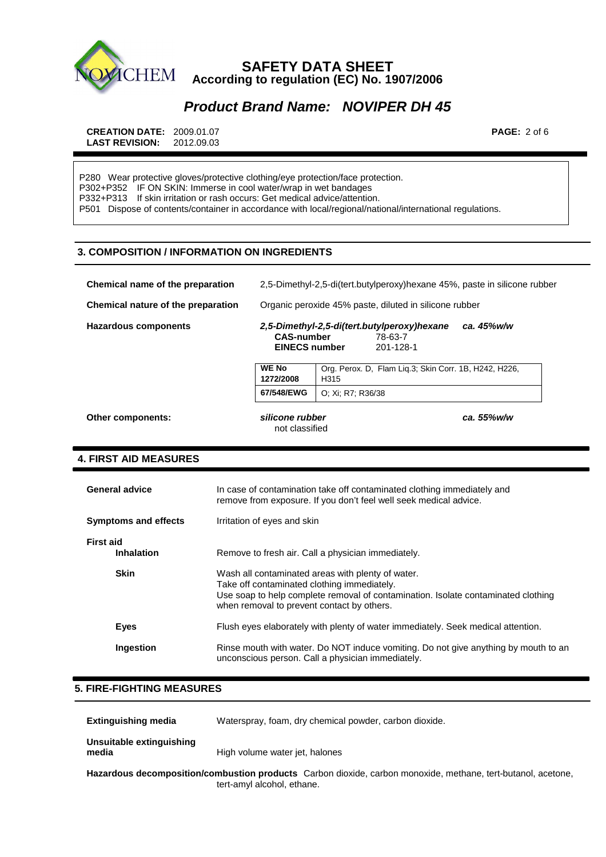

## **Product Brand Name: NOVIPER DH 45**

 **CREATION DATE:** 2009.01.07 **PAGE:** 2 of 6  **LAST REVISION:** 2012.09.03

P280 Wear protective gloves/protective clothing/eye protection/face protection. P302+P352 IF ON SKIN: Immerse in cool water/wrap in wet bandages P332+P313 If skin irritation or rash occurs: Get medical advice/attention. P501 Dispose of contents/container in accordance with local/regional/national/international regulations.

### **3. COMPOSITION / INFORMATION ON INGREDIENTS**

| Chemical name of the preparation   | 2,5-Dimethyl-2,5-di(tert.butylperoxy)hexane 45%, paste in silicone rubber                                                      |  |
|------------------------------------|--------------------------------------------------------------------------------------------------------------------------------|--|
| Chemical nature of the preparation | Organic peroxide 45% paste, diluted in silicone rubber                                                                         |  |
| <b>Hazardous components</b>        | ca. 45%w/w<br>2,5-Dimethyl-2,5-di(tert.butylperoxy)hexane<br><b>CAS-number</b><br>78-63-7<br><b>EINECS number</b><br>201-128-1 |  |
|                                    | <b>WE No</b><br>Org. Perox. D. Flam Lig.3; Skin Corr. 1B, H242, H226,<br>1272/2008<br>H <sub>315</sub>                         |  |
|                                    | 67/548/EWG<br>O: Xi: R7: R36/38                                                                                                |  |
| Other components:                  | silicone rubber<br>ca. 55%w/w<br>not classified                                                                                |  |

### **4. FIRST AID MEASURES**

| <b>General advice</b>                 | In case of contamination take off contaminated clothing immediately and<br>remove from exposure. If you don't feel well seek medical advice.                                                                                        |
|---------------------------------------|-------------------------------------------------------------------------------------------------------------------------------------------------------------------------------------------------------------------------------------|
| <b>Symptoms and effects</b>           | Irritation of eyes and skin                                                                                                                                                                                                         |
| <b>First aid</b><br><b>Inhalation</b> | Remove to fresh air. Call a physician immediately.                                                                                                                                                                                  |
| <b>Skin</b>                           | Wash all contaminated areas with plenty of water.<br>Take off contaminated clothing immediately.<br>Use soap to help complete removal of contamination. Isolate contaminated clothing<br>when removal to prevent contact by others. |
| Eyes                                  | Flush eyes elaborately with plenty of water immediately. Seek medical attention.                                                                                                                                                    |
| Ingestion                             | Rinse mouth with water. Do NOT induce vomiting. Do not give anything by mouth to an<br>unconscious person. Call a physician immediately.                                                                                            |

### **5. FIRE-FIGHTING MEASURES**

| <b>Extinguishing media</b>        | Waterspray, foam, dry chemical powder, carbon dioxide.                                                                                     |
|-----------------------------------|--------------------------------------------------------------------------------------------------------------------------------------------|
| Unsuitable extinguishing<br>media | High volume water jet, halones                                                                                                             |
|                                   | Hazardous decomposition/combustion products Carbon dioxide, carbon monoxide, methane, tert-butanol, acetone,<br>tert-amyl alcohol, ethane. |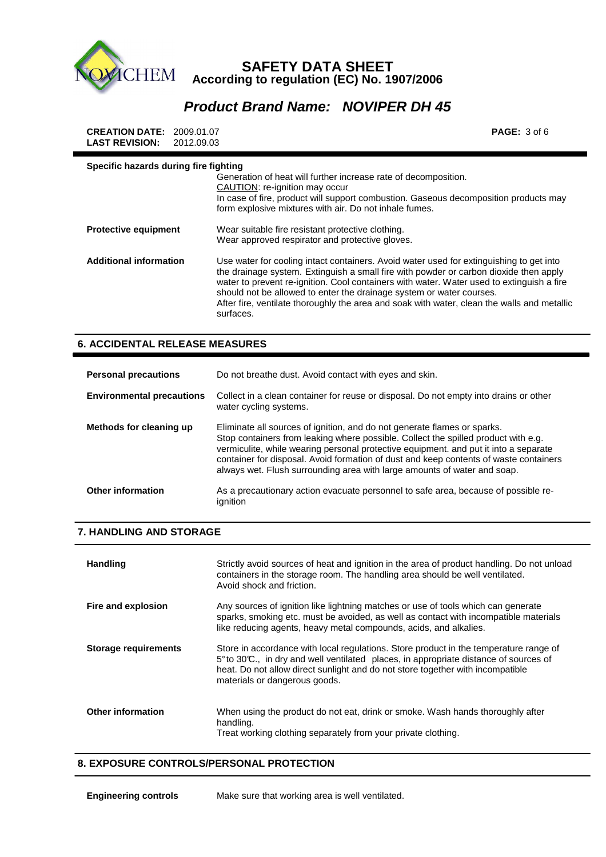

# **Product Brand Name: NOVIPER DH 45**

| <b>CREATION DATE: 2009.01.07</b><br><b>LAST REVISION:</b><br>2012.09.03 |                                                                                                                                                                                                                                                                                                                                                                                                                                                                   | <b>PAGE:</b> $3$ of $6$ |
|-------------------------------------------------------------------------|-------------------------------------------------------------------------------------------------------------------------------------------------------------------------------------------------------------------------------------------------------------------------------------------------------------------------------------------------------------------------------------------------------------------------------------------------------------------|-------------------------|
| Specific hazards during fire fighting                                   | Generation of heat will further increase rate of decomposition.<br>CAUTION: re-ignition may occur<br>In case of fire, product will support combustion. Gaseous decomposition products may<br>form explosive mixtures with air. Do not inhale fumes.                                                                                                                                                                                                               |                         |
| <b>Protective equipment</b>                                             | Wear suitable fire resistant protective clothing.<br>Wear approved respirator and protective gloves.                                                                                                                                                                                                                                                                                                                                                              |                         |
| <b>Additional information</b>                                           | Use water for cooling intact containers. Avoid water used for extinguishing to get into<br>the drainage system. Extinguish a small fire with powder or carbon dioxide then apply<br>water to prevent re-ignition. Cool containers with water. Water used to extinguish a fire<br>should not be allowed to enter the drainage system or water courses.<br>After fire, ventilate thoroughly the area and soak with water, clean the walls and metallic<br>surfaces. |                         |

## **6. ACCIDENTAL RELEASE MEASURES**

| <b>Personal precautions</b>      | Do not breathe dust. Avoid contact with eyes and skin.                                                                                                                                                                                                                                                                                                                                                                      |
|----------------------------------|-----------------------------------------------------------------------------------------------------------------------------------------------------------------------------------------------------------------------------------------------------------------------------------------------------------------------------------------------------------------------------------------------------------------------------|
| <b>Environmental precautions</b> | Collect in a clean container for reuse or disposal. Do not empty into drains or other<br>water cycling systems.                                                                                                                                                                                                                                                                                                             |
| Methods for cleaning up          | Eliminate all sources of ignition, and do not generate flames or sparks.<br>Stop containers from leaking where possible. Collect the spilled product with e.g.<br>vermiculite, while wearing personal protective equipment. and put it into a separate<br>container for disposal. Avoid formation of dust and keep contents of waste containers<br>always wet. Flush surrounding area with large amounts of water and soap. |
| Other information                | As a precautionary action evacuate personnel to safe area, because of possible re-<br>ignition                                                                                                                                                                                                                                                                                                                              |

## **7. HANDLING AND STORAGE**

| <b>Handling</b>             | Strictly avoid sources of heat and ignition in the area of product handling. Do not unload<br>containers in the storage room. The handling area should be well ventilated.<br>Avoid shock and friction.                                                                                           |
|-----------------------------|---------------------------------------------------------------------------------------------------------------------------------------------------------------------------------------------------------------------------------------------------------------------------------------------------|
| Fire and explosion          | Any sources of ignition like lightning matches or use of tools which can generate<br>sparks, smoking etc. must be avoided, as well as contact with incompatible materials<br>like reducing agents, heavy metal compounds, acids, and alkalies.                                                    |
| <b>Storage requirements</b> | Store in accordance with local regulations. Store product in the temperature range of<br>5° to 30°C., in dry and well ventilated places, in appropriate distance of sources of<br>heat. Do not allow direct sunlight and do not store together with incompatible<br>materials or dangerous goods. |
| <b>Other information</b>    | When using the product do not eat, drink or smoke. Wash hands thoroughly after<br>handling.<br>Treat working clothing separately from your private clothing.                                                                                                                                      |

#### **8. EXPOSURE CONTROLS/PERSONAL PROTECTION**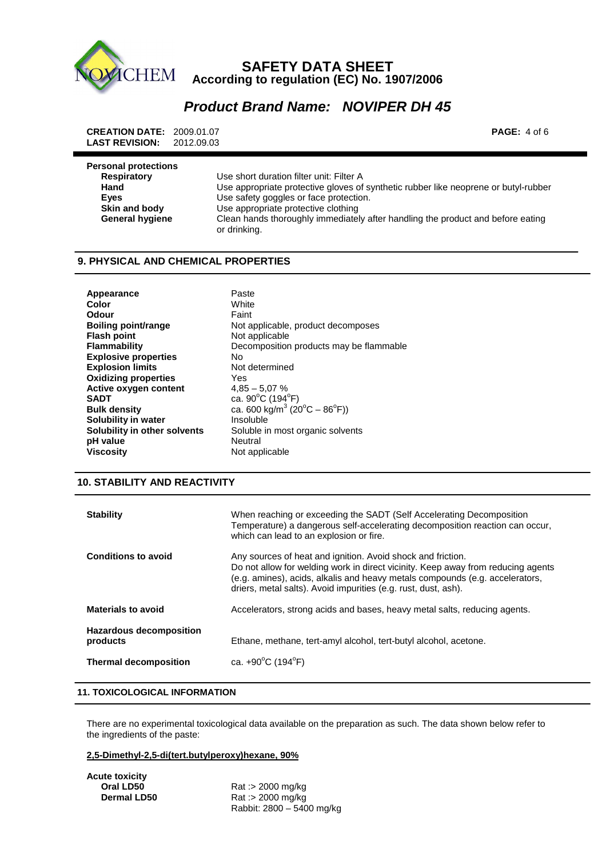

## **Product Brand Name: NOVIPER DH 45**

 **CREATION DATE:** 2009.01.07 **PAGE:** 4 of 6  **LAST REVISION:** 2012.09.03

| <b>Personal protections</b> |                                                                                                 |
|-----------------------------|-------------------------------------------------------------------------------------------------|
| <b>Respiratory</b>          | Use short duration filter unit: Filter A                                                        |
| Hand                        | Use appropriate protective gloves of synthetic rubber like neoprene or butyl-rubber             |
| Eyes                        | Use safety goggles or face protection.                                                          |
| Skin and body               | Use appropriate protective clothing                                                             |
| <b>General hygiene</b>      | Clean hands thoroughly immediately after handling the product and before eating<br>or drinking. |

#### **9. PHYSICAL AND CHEMICAL PROPERTIES**

Appearance **Paste Color** White **Odour Faint Flash point 6 Mot applicable**<br> **Flammability CECO** Decomposition  **Explosive properties** No **Explosion limits** Not determined  **Oxidizing properties** Yes **Active oxygen content** 4,85 – 5,07 % **SADT**  $\qquad \qquad$  ca. 90<sup>o</sup>C (194<sup>o</sup>F) **Bulk density**  $\text{ca. } 600 \text{ kg/m}^3 \text{ (20}^{\circ}\text{C} - 86^{\circ}\text{F)}$ **Solubility in water Insoluble Solubility in other solvents** Soluble in pH value<br>Viscosity

**Boiling point/range <br>
Not applicable, product decomposes** Decomposition products may be flammable Soluble in most organic solvents<br>Neutral **Not applicable** 

#### **10. STABILITY AND REACTIVITY**

| <b>Stability</b>                           | When reaching or exceeding the SADT (Self Accelerating Decomposition<br>Temperature) a dangerous self-accelerating decomposition reaction can occur,<br>which can lead to an explosion or fire.                                                                                                   |
|--------------------------------------------|---------------------------------------------------------------------------------------------------------------------------------------------------------------------------------------------------------------------------------------------------------------------------------------------------|
| <b>Conditions to avoid</b>                 | Any sources of heat and ignition. Avoid shock and friction.<br>Do not allow for welding work in direct vicinity. Keep away from reducing agents<br>(e.g. amines), acids, alkalis and heavy metals compounds (e.g. accelerators,<br>driers, metal salts). Avoid impurities (e.g. rust, dust, ash). |
| <b>Materials to avoid</b>                  | Accelerators, strong acids and bases, heavy metal salts, reducing agents.                                                                                                                                                                                                                         |
| <b>Hazardous decomposition</b><br>products | Ethane, methane, tert-amyl alcohol, tert-butyl alcohol, acetone.                                                                                                                                                                                                                                  |
| <b>Thermal decomposition</b>               | ca. $+90^{\circ}$ C (194 $^{\circ}$ F)                                                                                                                                                                                                                                                            |
|                                            |                                                                                                                                                                                                                                                                                                   |

#### **11. TOXICOLOGICAL INFORMATION**

 There are no experimental toxicological data available on the preparation as such. The data shown below refer to the ingredients of the paste:

#### **2,5-Dimethyl-2,5-di(tert.butylperoxy)hexane, 90%**

 **Acute toxicity** 

**Cral LD50 Rat :> 2000 mg/kg<br>
<b>Dermal LD50 Rat :> 2000 mg/kg Dermal LD50** Rat :> 2000 mg/kg Rabbit: 2800 – 5400 mg/kg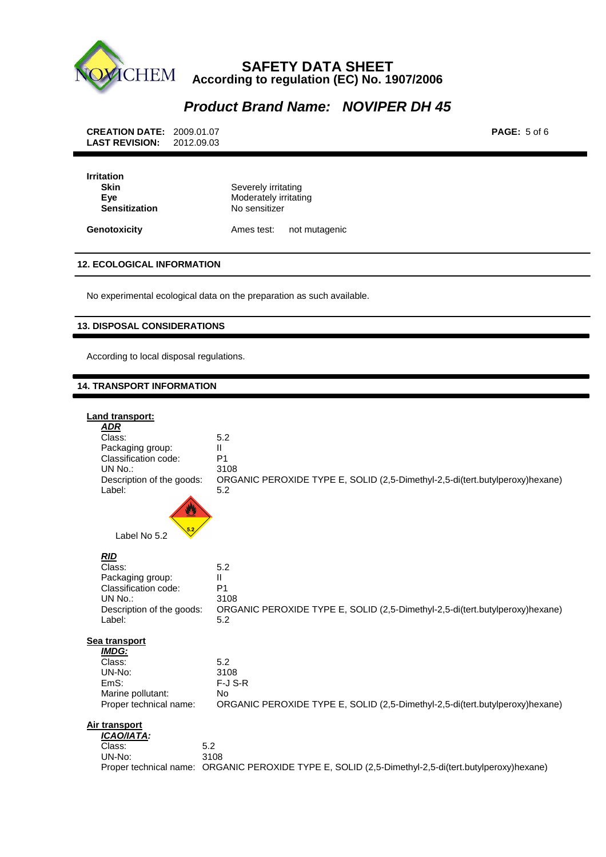

# **Product Brand Name: NOVIPER DH 45**

**Genotoxicity Ames test:** not mutagenic

#### **12. ECOLOGICAL INFORMATION**

No experimental ecological data on the preparation as such available.

#### **13. DISPOSAL CONSIDERATIONS**

According to local disposal regulations.

#### **14. TRANSPORT INFORMATION**

| Land transport:<br><b>ADR</b><br>Class:<br>Packaging group:<br>Classification code:<br>UN No.:<br>Description of the goods:<br>Label: | 5.2<br>Ш<br>P <sub>1</sub><br>3108<br>ORGANIC PEROXIDE TYPE E, SOLID (2,5-Dimethyl-2,5-di(tert.butylperoxy)hexane)<br>5.2 |
|---------------------------------------------------------------------------------------------------------------------------------------|---------------------------------------------------------------------------------------------------------------------------|
| Label No 5.2                                                                                                                          |                                                                                                                           |
| <b>RID</b><br>Class:<br>Packaging group:<br>Classification code:<br>UN No.:<br>Description of the goods:<br>Label:                    | 5.2<br>Ш<br>P <sub>1</sub><br>3108<br>ORGANIC PEROXIDE TYPE E, SOLID (2,5-Dimethyl-2,5-di(tert.butylperoxy)hexane)<br>5.2 |
| Sea transport<br><b>IMDG:</b><br>Class:<br>UN-No:<br>EmS:<br>Marine pollutant:<br>Proper technical name:                              | 5.2<br>3108<br>$F-J$ S-R<br><b>No</b><br>ORGANIC PEROXIDE TYPE E, SOLID (2,5-Dimethyl-2,5-di(tert.butylperoxy)hexane)     |
| Air transport<br>ICAO/IATA:<br>Class:<br>UN-No:                                                                                       | 5.2<br>3108<br>Proper technical name: ORGANIC PEROXIDE TYPE E, SOLID (2,5-Dimethyl-2,5-di(tert.butylperoxy)hexane)        |